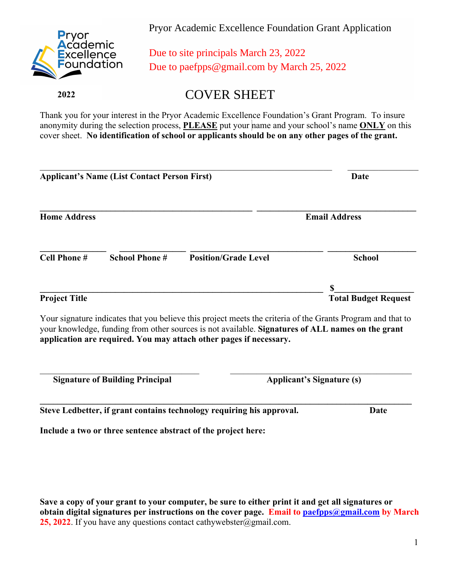

Pryor Academic Excellence Foundation Grant Application

Due to site principals March 23, 2022 Due to paefpps@gmail.com by March 25, 2022

 **2022**

COVER SHEET

Thank you for your interest in the Pryor Academic Excellence Foundation's Grant Program. To insure anonymity during the selection process, **PLEASE** put your name and your school's name **ONLY** on this cover sheet. **No identification of school or applicants should be on any other pages of the grant.**

| <b>Applicant's Name (List Contact Person First)</b> |                      |                                                                                                                                                                         | Date                             |  |
|-----------------------------------------------------|----------------------|-------------------------------------------------------------------------------------------------------------------------------------------------------------------------|----------------------------------|--|
| <b>Home Address</b>                                 |                      |                                                                                                                                                                         | <b>Email Address</b>             |  |
| <b>Cell Phone#</b>                                  | <b>School Phone#</b> | <b>Position/Grade Level</b>                                                                                                                                             | <b>School</b>                    |  |
| <b>Project Title</b>                                |                      |                                                                                                                                                                         | <b>Total Budget Request</b>      |  |
|                                                     |                      | Your signature indicates that you believe this project meets the criteria of the Grants Program and that to                                                             |                                  |  |
|                                                     |                      | your knowledge, funding from other sources is not available. Signatures of ALL names on the grant<br>application are required. You may attach other pages if necessary. |                                  |  |
| <b>Signature of Building Principal</b>              |                      |                                                                                                                                                                         | <b>Applicant's Signature (s)</b> |  |
|                                                     |                      | Steve Ledbetter, if grant contains technology requiring his approval.                                                                                                   | <b>Date</b>                      |  |
|                                                     |                      | Include a two or three sentence abstract of the project here:                                                                                                           |                                  |  |

**Save a copy of your grant to your computer, be sure to either print it and get all signatures or obtain digital signatures per instructions on the cover page. Email to paefpps@gmail.com by March 25, 2022**. If you have any questions contact cathywebster@gmail.com.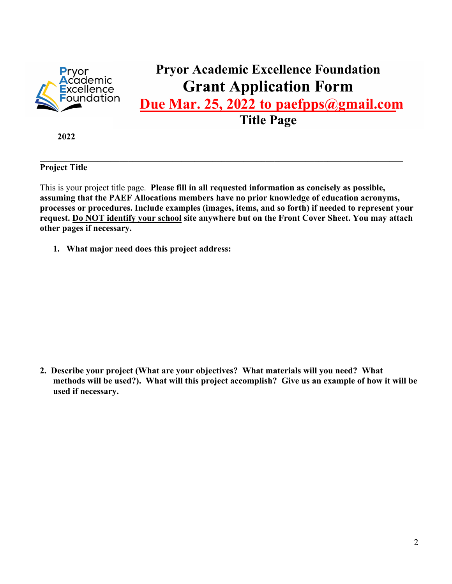

## **Pryor Academic Excellence Foundation Grant Application Form**

**Due Mar. 25, 2022 to paefpps@gmail.com** 

**Title Page** 

 **2022**

**Project Title** 

This is your project title page. **Please fill in all requested information as concisely as possible, assuming that the PAEF Allocations members have no prior knowledge of education acronyms, processes or procedures. Include examples (images, items, and so forth) if needed to represent your request. Do NOT identify your school site anywhere but on the Front Cover Sheet. You may attach other pages if necessary.** 

 $\mathcal{L}_\mathcal{L} = \{ \mathcal{L}_\mathcal{L} = \{ \mathcal{L}_\mathcal{L} = \{ \mathcal{L}_\mathcal{L} = \{ \mathcal{L}_\mathcal{L} = \{ \mathcal{L}_\mathcal{L} = \{ \mathcal{L}_\mathcal{L} = \{ \mathcal{L}_\mathcal{L} = \{ \mathcal{L}_\mathcal{L} = \{ \mathcal{L}_\mathcal{L} = \{ \mathcal{L}_\mathcal{L} = \{ \mathcal{L}_\mathcal{L} = \{ \mathcal{L}_\mathcal{L} = \{ \mathcal{L}_\mathcal{L} = \{ \mathcal{L}_\mathcal{$ 

**1. What major need does this project address:** 

**2. Describe your project (What are your objectives? What materials will you need? What methods will be used?). What will this project accomplish? Give us an example of how it will be used if necessary.**